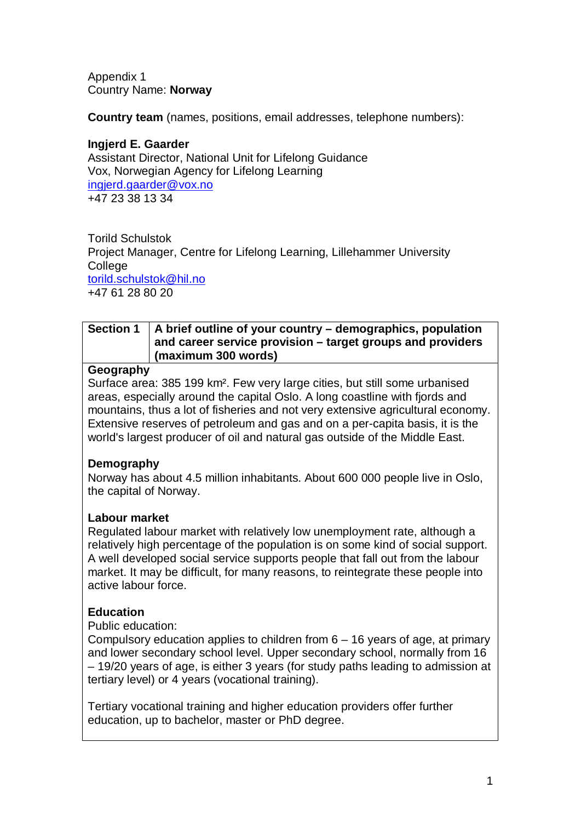Appendix 1 Country Name: **Norway**

**Country team** (names, positions, email addresses, telephone numbers):

**Ingjerd E. Gaarder** Assistant Director, National Unit for Lifelong Guidance Vox, Norwegian Agency for Lifelong Learning [ingjerd.gaarder@vox.no](mailto:ingjerd.gaarder@vox.no)  +47 23 38 13 34

Torild Schulstok Project Manager, Centre for Lifelong Learning, Lillehammer University **College** [torild.schulstok@hil.no](mailto:torild.schulstok@hil.no)  +47 61 28 80 20

#### **Section 1 A brief outline of your country – demographics, population and career service provision – target groups and providers (maximum 300 words)**

#### **Geography**

Surface area: 385 199 km². Few very large cities, but still some urbanised areas, especially around the capital Oslo. A long coastline with fjords and mountains, thus a lot of fisheries and not very extensive agricultural economy. Extensive reserves of petroleum and gas and on a per-capita basis, it is the world's largest producer of oil and natural gas outside of the Middle East.

### **Demography**

Norway has about 4.5 million inhabitants. About 600 000 people live in Oslo, the capital of Norway.

### **Labour market**

Regulated labour market with relatively low unemployment rate, although a relatively high percentage of the population is on some kind of social support. A well developed social service supports people that fall out from the labour market. It may be difficult, for many reasons, to reintegrate these people into active labour force.

## **Education**

Public education:

Compulsory education applies to children from 6 – 16 years of age, at primary and lower secondary school level. Upper secondary school, normally from 16 – 19/20 years of age, is either 3 years (for study paths leading to admission at tertiary level) or 4 years (vocational training).

Tertiary vocational training and higher education providers offer further education, up to bachelor, master or PhD degree.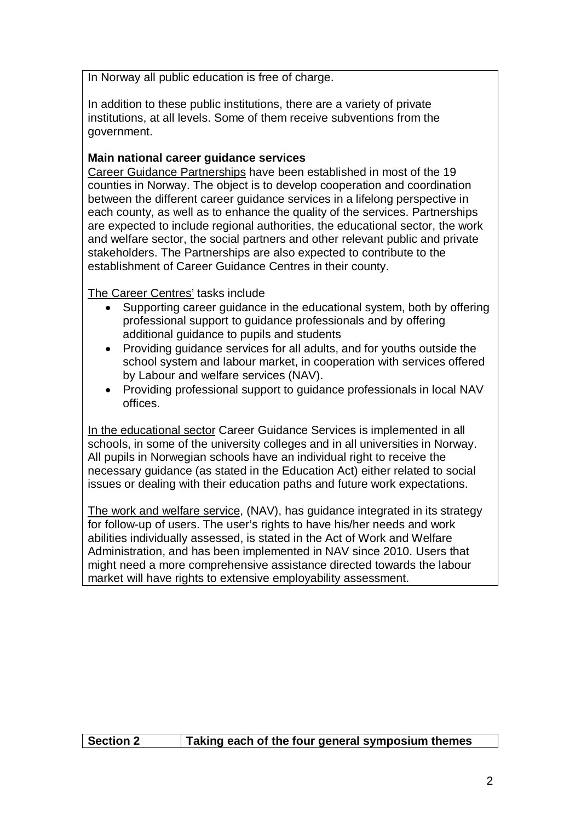In Norway all public education is free of charge.

In addition to these public institutions, there are a variety of private institutions, at all levels. Some of them receive subventions from the government.

### **Main national career guidance services**

Career Guidance Partnerships have been established in most of the 19 counties in Norway. The object is to develop cooperation and coordination between the different career guidance services in a lifelong perspective in each county, as well as to enhance the quality of the services. Partnerships are expected to include regional authorities, the educational sector, the work and welfare sector, the social partners and other relevant public and private stakeholders. The Partnerships are also expected to contribute to the establishment of Career Guidance Centres in their county.

The Career Centres' tasks include

- Supporting career guidance in the educational system, both by offering professional support to guidance professionals and by offering additional guidance to pupils and students
- Providing guidance services for all adults, and for youths outside the school system and labour market, in cooperation with services offered by Labour and welfare services (NAV).
- Providing professional support to guidance professionals in local NAV offices.

In the educational sector Career Guidance Services is implemented in all schools, in some of the university colleges and in all universities in Norway. All pupils in Norwegian schools have an individual right to receive the necessary guidance (as stated in the Education Act) either related to social issues or dealing with their education paths and future work expectations.

The work and welfare service, (NAV), has guidance integrated in its strategy for follow-up of users. The user's rights to have his/her needs and work abilities individually assessed, is stated in the Act of Work and Welfare Administration, and has been implemented in NAV since 2010. Users that might need a more comprehensive assistance directed towards the labour market will have rights to extensive employability assessment.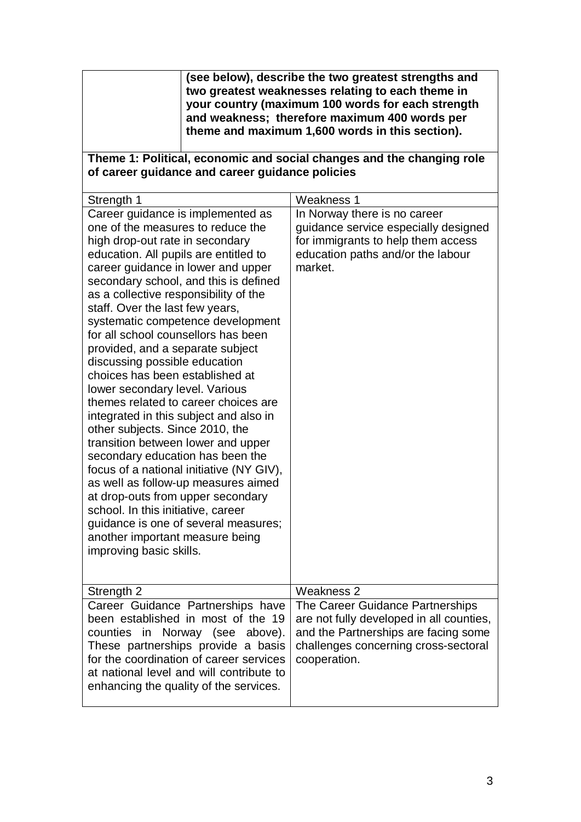| (see below), describe the two greatest strengths and |
|------------------------------------------------------|
| two greatest weaknesses relating to each theme in    |
| your country (maximum 100 words for each strength    |
| and weakness; therefore maximum 400 words per        |
| theme and maximum 1,600 words in this section).      |

#### **Theme 1: Political, economic and social changes and the changing role of career guidance and career guidance policies**

| Strength 1                                                                                                                                                                                                                                                                                                                                                                                                                                                                                                                                                                                                                                                                                                                                                                                                                                                                                                                                                                                             | Weakness 1                                                                                                                                                                                 |
|--------------------------------------------------------------------------------------------------------------------------------------------------------------------------------------------------------------------------------------------------------------------------------------------------------------------------------------------------------------------------------------------------------------------------------------------------------------------------------------------------------------------------------------------------------------------------------------------------------------------------------------------------------------------------------------------------------------------------------------------------------------------------------------------------------------------------------------------------------------------------------------------------------------------------------------------------------------------------------------------------------|--------------------------------------------------------------------------------------------------------------------------------------------------------------------------------------------|
| Career guidance is implemented as<br>one of the measures to reduce the<br>high drop-out rate in secondary<br>education. All pupils are entitled to<br>career guidance in lower and upper<br>secondary school, and this is defined<br>as a collective responsibility of the<br>staff. Over the last few years,<br>systematic competence development<br>for all school counsellors has been<br>provided, and a separate subject<br>discussing possible education<br>choices has been established at<br>lower secondary level. Various<br>themes related to career choices are<br>integrated in this subject and also in<br>other subjects. Since 2010, the<br>transition between lower and upper<br>secondary education has been the<br>focus of a national initiative (NY GIV),<br>as well as follow-up measures aimed<br>at drop-outs from upper secondary<br>school. In this initiative, career<br>guidance is one of several measures;<br>another important measure being<br>improving basic skills. | In Norway there is no career<br>guidance service especially designed<br>for immigrants to help them access<br>education paths and/or the labour<br>market.                                 |
| Strength 2<br>Career Guidance Partnerships have<br>been established in most of the 19<br>counties in Norway (see above).<br>These partnerships provide a basis<br>for the coordination of career services<br>at national level and will contribute to<br>enhancing the quality of the services.                                                                                                                                                                                                                                                                                                                                                                                                                                                                                                                                                                                                                                                                                                        | Weakness 2<br>The Career Guidance Partnerships<br>are not fully developed in all counties,<br>and the Partnerships are facing some<br>challenges concerning cross-sectoral<br>cooperation. |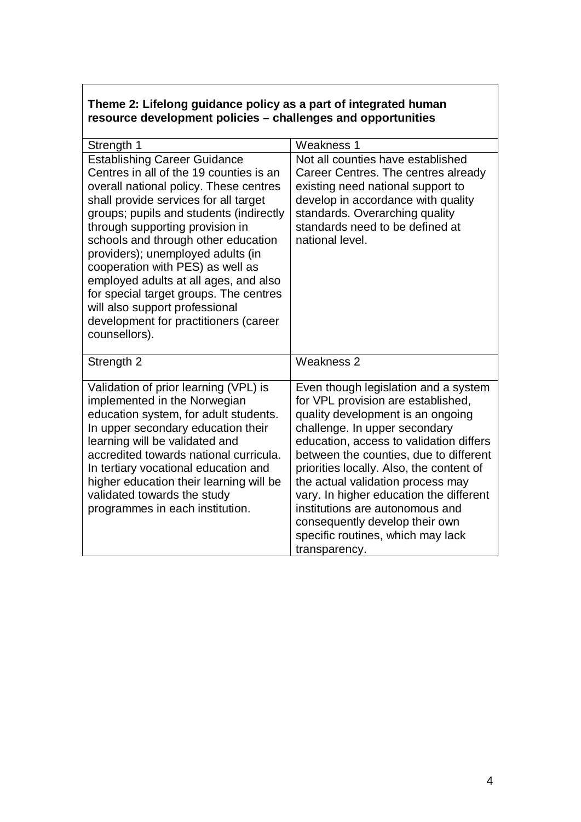## **Theme 2: Lifelong guidance policy as a part of integrated human resource development policies – challenges and opportunities**

| Strength 1                                                                                                                                                                                                                                                                                                                                                                                                                                                                                                                                     | Weakness 1                                                                                                                                                                                                                                                                                                                                                                                                                                                                                   |
|------------------------------------------------------------------------------------------------------------------------------------------------------------------------------------------------------------------------------------------------------------------------------------------------------------------------------------------------------------------------------------------------------------------------------------------------------------------------------------------------------------------------------------------------|----------------------------------------------------------------------------------------------------------------------------------------------------------------------------------------------------------------------------------------------------------------------------------------------------------------------------------------------------------------------------------------------------------------------------------------------------------------------------------------------|
| <b>Establishing Career Guidance</b><br>Centres in all of the 19 counties is an<br>overall national policy. These centres<br>shall provide services for all target<br>groups; pupils and students (indirectly<br>through supporting provision in<br>schools and through other education<br>providers); unemployed adults (in<br>cooperation with PES) as well as<br>employed adults at all ages, and also<br>for special target groups. The centres<br>will also support professional<br>development for practitioners (career<br>counsellors). | Not all counties have established<br>Career Centres. The centres already<br>existing need national support to<br>develop in accordance with quality<br>standards. Overarching quality<br>standards need to be defined at<br>national level.                                                                                                                                                                                                                                                  |
| Strength 2                                                                                                                                                                                                                                                                                                                                                                                                                                                                                                                                     | Weakness 2                                                                                                                                                                                                                                                                                                                                                                                                                                                                                   |
| Validation of prior learning (VPL) is<br>implemented in the Norwegian<br>education system, for adult students.<br>In upper secondary education their<br>learning will be validated and<br>accredited towards national curricula.<br>In tertiary vocational education and<br>higher education their learning will be<br>validated towards the study<br>programmes in each institution.                                                                                                                                                          | Even though legislation and a system<br>for VPL provision are established,<br>quality development is an ongoing<br>challenge. In upper secondary<br>education, access to validation differs<br>between the counties, due to different<br>priorities locally. Also, the content of<br>the actual validation process may<br>vary. In higher education the different<br>institutions are autonomous and<br>consequently develop their own<br>specific routines, which may lack<br>transparency. |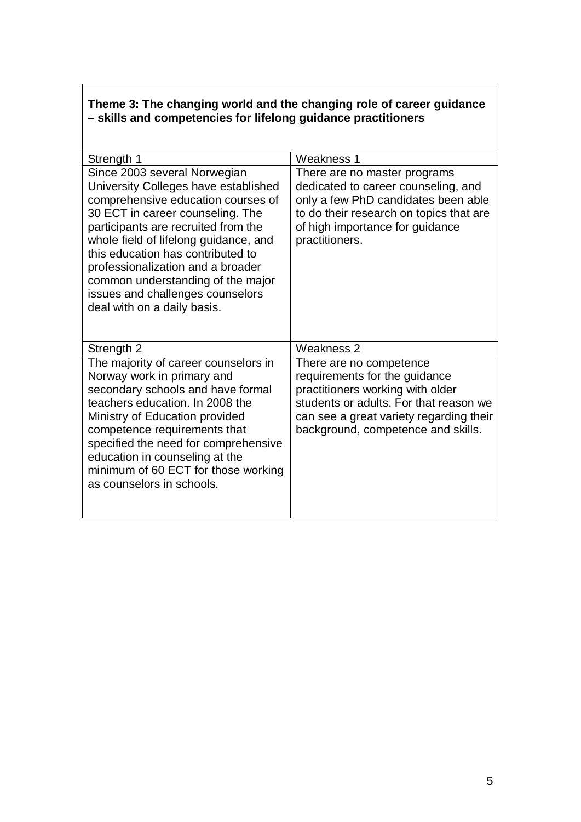## **Theme 3: The changing world and the changing role of career guidance – skills and competencies for lifelong guidance practitioners**

| Strength 1                                                                                                                                                                                                                                                                                                                                                                                                       | Weakness 1                                                                                                                                                                                                              |
|------------------------------------------------------------------------------------------------------------------------------------------------------------------------------------------------------------------------------------------------------------------------------------------------------------------------------------------------------------------------------------------------------------------|-------------------------------------------------------------------------------------------------------------------------------------------------------------------------------------------------------------------------|
| Since 2003 several Norwegian<br>University Colleges have established<br>comprehensive education courses of<br>30 ECT in career counseling. The<br>participants are recruited from the<br>whole field of lifelong guidance, and<br>this education has contributed to<br>professionalization and a broader<br>common understanding of the major<br>issues and challenges counselors<br>deal with on a daily basis. | There are no master programs<br>dedicated to career counseling, and<br>only a few PhD candidates been able<br>to do their research on topics that are<br>of high importance for guidance<br>practitioners.              |
| Strength 2                                                                                                                                                                                                                                                                                                                                                                                                       | Weakness 2                                                                                                                                                                                                              |
| The majority of career counselors in<br>Norway work in primary and<br>secondary schools and have formal<br>teachers education. In 2008 the<br>Ministry of Education provided<br>competence requirements that<br>specified the need for comprehensive<br>education in counseling at the<br>minimum of 60 ECT for those working<br>as counselors in schools.                                                       | There are no competence<br>requirements for the guidance<br>practitioners working with older<br>students or adults. For that reason we<br>can see a great variety regarding their<br>background, competence and skills. |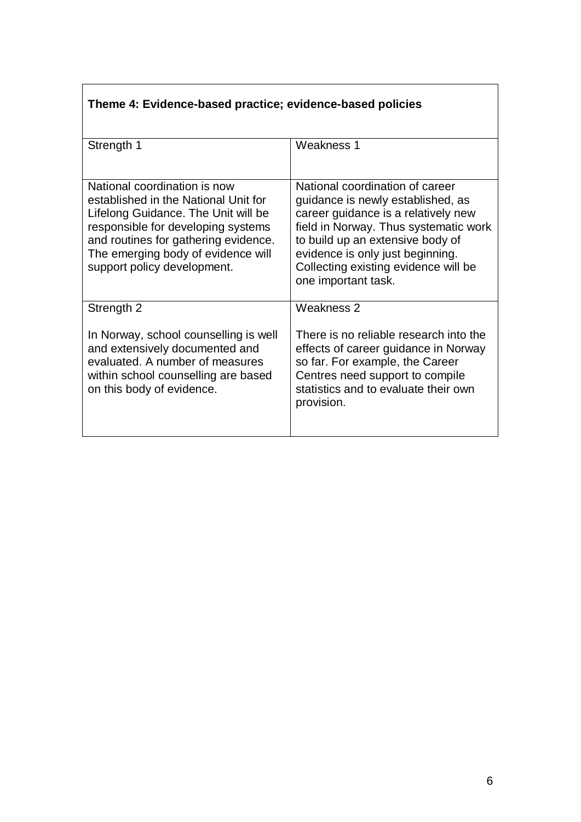# **Theme 4: Evidence-based practice; evidence-based policies**

| Strength 1                                                                                                                                                                                                                                                     | Weakness 1                                                                                                                                                                                                                                                                                  |
|----------------------------------------------------------------------------------------------------------------------------------------------------------------------------------------------------------------------------------------------------------------|---------------------------------------------------------------------------------------------------------------------------------------------------------------------------------------------------------------------------------------------------------------------------------------------|
| National coordination is now<br>established in the National Unit for<br>Lifelong Guidance. The Unit will be<br>responsible for developing systems<br>and routines for gathering evidence.<br>The emerging body of evidence will<br>support policy development. | National coordination of career<br>guidance is newly established, as<br>career guidance is a relatively new<br>field in Norway. Thus systematic work<br>to build up an extensive body of<br>evidence is only just beginning.<br>Collecting existing evidence will be<br>one important task. |
| Strength 2<br>In Norway, school counselling is well<br>and extensively documented and<br>evaluated. A number of measures<br>within school counselling are based<br>on this body of evidence.                                                                   | Weakness 2<br>There is no reliable research into the<br>effects of career guidance in Norway<br>so far. For example, the Career<br>Centres need support to compile<br>statistics and to evaluate their own<br>provision.                                                                    |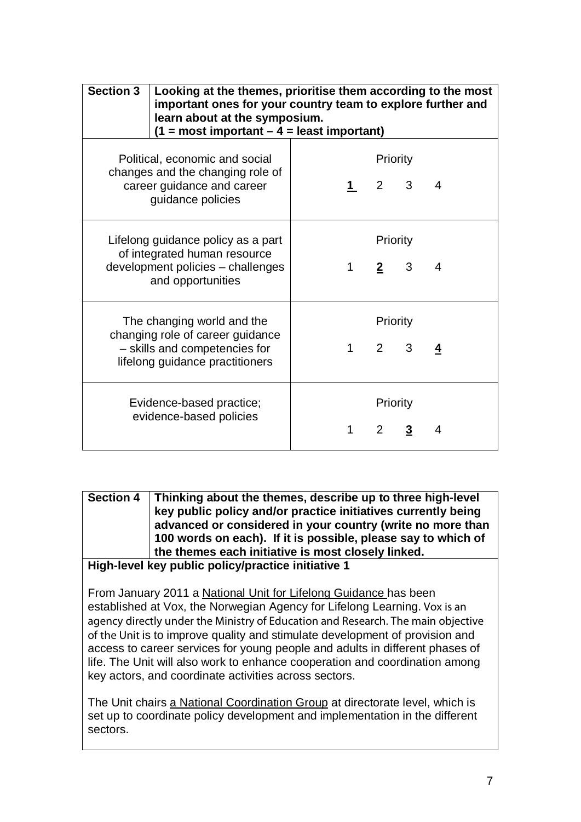| <b>Section 3</b>                                                                                                                   | Looking at the themes, prioritise them according to the most<br>important ones for your country team to explore further and<br>learn about at the symposium.<br>$(1 = most important - 4 = least important)$ |             |                         |   |   |
|------------------------------------------------------------------------------------------------------------------------------------|--------------------------------------------------------------------------------------------------------------------------------------------------------------------------------------------------------------|-------------|-------------------------|---|---|
| Political, economic and social<br>changes and the changing role of<br>career guidance and career<br>guidance policies              |                                                                                                                                                                                                              |             | Priority<br>$2 \quad 3$ |   | 4 |
| Lifelong guidance policy as a part<br>of integrated human resource<br>development policies - challenges<br>and opportunities       |                                                                                                                                                                                                              | 1           | Priority<br>$2^{\circ}$ | 3 | 4 |
| The changing world and the<br>changing role of career guidance<br>- skills and competencies for<br>lifelong guidance practitioners |                                                                                                                                                                                                              | $\mathbf 1$ | Priority<br>$2^{\circ}$ | 3 |   |
|                                                                                                                                    | Evidence-based practice;<br>evidence-based policies                                                                                                                                                          | 1           | Priority<br>$2^{\circ}$ | 3 | 4 |

**Section 4 Thinking about the themes, describe up to three high-level key public policy and/or practice initiatives currently being advanced or considered in your country (write no more than 100 words on each). If it is possible, please say to which of the themes each initiative is most closely linked.** 

#### **High-level key public policy/practice initiative 1**

From January 2011 a National Unit for Lifelong Guidance has been established at Vox, the Norwegian Agency for Lifelong Learning. Vox is an agency directly under the Ministry of Education and Research. The main objective of the Unit is to improve quality and stimulate development of provision and access to career services for young people and adults in different phases of life. The Unit will also work to enhance cooperation and coordination among key actors, and coordinate activities across sectors.

The Unit chairs a National Coordination Group at directorate level, which is set up to coordinate policy development and implementation in the different sectors.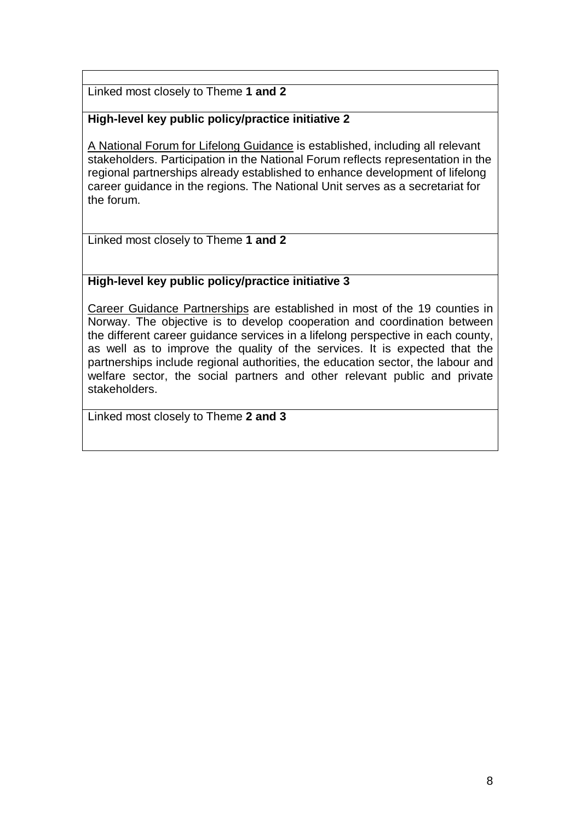Linked most closely to Theme **1 and 2** 

## **High-level key public policy/practice initiative 2**

A National Forum for Lifelong Guidance is established, including all relevant stakeholders. Participation in the National Forum reflects representation in the regional partnerships already established to enhance development of lifelong career guidance in the regions. The National Unit serves as a secretariat for the forum.

Linked most closely to Theme **1 and 2**

### **High-level key public policy/practice initiative 3**

Career Guidance Partnerships are established in most of the 19 counties in Norway. The objective is to develop cooperation and coordination between the different career guidance services in a lifelong perspective in each county, as well as to improve the quality of the services. It is expected that the partnerships include regional authorities, the education sector, the labour and welfare sector, the social partners and other relevant public and private stakeholders.

Linked most closely to Theme **2 and 3**